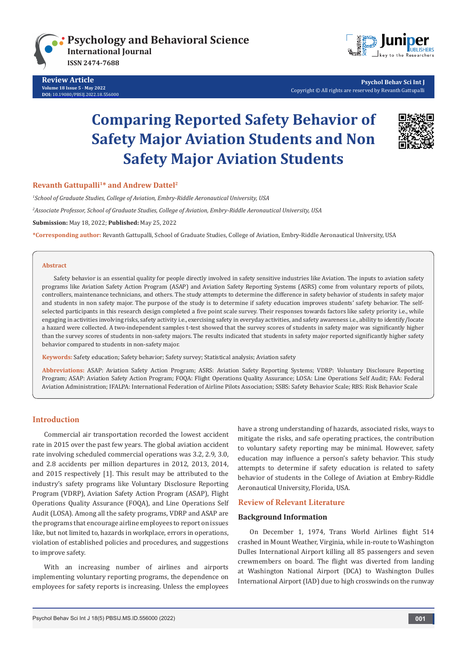

**Review Article Volume 18 Issue 5 - May 2022 [DOI:](http://dx.doi.org/10.19080/PBSIJ.2017.02.555576)** [10.19080/PBSIJ.2022.18.556](http://dx.doi.org/10.19080/PBSIJ.2022.18.556000)000



 **Psychol Behav Sci Int J** Copyright © All rights are reserved by Revanth Gattupalli

# **Comparing Reported Safety Behavior of Safety Major Aviation Students and Non Safety Major Aviation Students**



# **Revanth Gattupalli<sup>1\*</sup> and Andrew Dattel<sup>2</sup>**

*1 School of Graduate Studies, College of Aviation, Embry-Riddle Aeronautical University, USA 2 Associate Professor, School of Graduate Studies, College of Aviation, Embry-Riddle Aeronautical University, USA* **Submission:** May 18, 2022; **Published:** May 25, 2022

**\*Corresponding author:** Revanth Gattupalli, School of Graduate Studies, College of Aviation, Embry-Riddle Aeronautical University, USA

#### **Abstract**

Safety behavior is an essential quality for people directly involved in safety sensitive industries like Aviation. The inputs to aviation safety programs like Aviation Safety Action Program (ASAP) and Aviation Safety Reporting Systems (ASRS) come from voluntary reports of pilots, controllers, maintenance technicians, and others. The study attempts to determine the difference in safety behavior of students in safety major and students in non safety major. The purpose of the study is to determine if safety education improves students' safety behavior. The selfselected participants in this research design completed a five point scale survey. Their responses towards factors like safety priority i.e., while engaging in activities involving risks, safety activity i.e., exercising safety in everyday activities, and safety awareness i.e., ability to identify/locate a hazard were collected. A two-independent samples t-test showed that the survey scores of students in safety major was significantly higher than the survey scores of students in non-safety majors. The results indicated that students in safety major reported significantly higher safety behavior compared to students in non-safety major.

**Keywords:** Safety education; Safety behavior; Safety survey; Statistical analysis; Aviation safety

**Abbreviations:** ASAP: Aviation Safety Action Program; ASRS: Aviation Safety Reporting Systems; VDRP: Voluntary Disclosure Reporting Program; ASAP: Aviation Safety Action Program; FOQA: Flight Operations Quality Assurance; LOSA: Line Operations Self Audit; FAA: Federal Aviation Administration; IFALPA: International Federation of Airline Pilots Association; SSBS: Safety Behavior Scale; RBS: Risk Behavior Scale

## **Introduction**

Commercial air transportation recorded the lowest accident rate in 2015 over the past few years. The global aviation accident rate involving scheduled commercial operations was 3.2, 2.9, 3.0, and 2.8 accidents per million departures in 2012, 2013, 2014, and 2015 respectively [1]. This result may be attributed to the industry's safety programs like Voluntary Disclosure Reporting Program (VDRP), Aviation Safety Action Program (ASAP), Flight Operations Quality Assurance (FOQA), and Line Operations Self Audit (LOSA). Among all the safety programs, VDRP and ASAP are the programs that encourage airline employees to report on issues like, but not limited to, hazards in workplace, errors in operations, violation of established policies and procedures, and suggestions to improve safety.

With an increasing number of airlines and airports implementing voluntary reporting programs, the dependence on employees for safety reports is increasing. Unless the employees have a strong understanding of hazards, associated risks, ways to mitigate the risks, and safe operating practices, the contribution to voluntary safety reporting may be minimal. However, safety education may influence a person's safety behavior. This study attempts to determine if safety education is related to safety behavior of students in the College of Aviation at Embry-Riddle Aeronautical University, Florida, USA.

## **Review of Relevant Literature**

#### **Background Information**

On December 1, 1974, Trans World Airlines flight 514 crashed in Mount Weather, Virginia, while in-route to Washington Dulles International Airport killing all 85 passengers and seven crewmembers on board. The flight was diverted from landing at Washington National Airport (DCA) to Washington Dulles International Airport (IAD) due to high crosswinds on the runway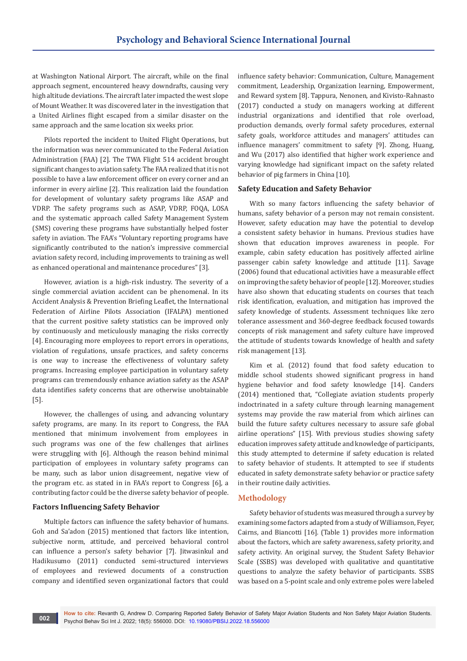at Washington National Airport. The aircraft, while on the final approach segment, encountered heavy downdrafts, causing very high altitude deviations. The aircraft later impacted the west slope of Mount Weather. It was discovered later in the investigation that a United Airlines flight escaped from a similar disaster on the same approach and the same location six weeks prior.

Pilots reported the incident to United Flight Operations, but the information was never communicated to the Federal Aviation Administration (FAA) [2]. The TWA Flight 514 accident brought significant changes to aviation safety. The FAA realized that it is not possible to have a law enforcement officer on every corner and an informer in every airline [2]. This realization laid the foundation for development of voluntary safety programs like ASAP and VDRP. The safety programs such as ASAP, VDRP, FOQA, LOSA and the systematic approach called Safety Management System (SMS) covering these programs have substantially helped foster safety in aviation. The FAA's "Voluntary reporting programs have significantly contributed to the nation's impressive commercial aviation safety record, including improvements to training as well as enhanced operational and maintenance procedures" [3].

However, aviation is a high-risk industry. The severity of a single commercial aviation accident can be phenomenal. In its Accident Analysis & Prevention Briefing Leaflet, the International Federation of Airline Pilots Association (IFALPA) mentioned that the current positive safety statistics can be improved only by continuously and meticulously managing the risks correctly [4]. Encouraging more employees to report errors in operations, violation of regulations, unsafe practices, and safety concerns is one way to increase the effectiveness of voluntary safety programs. Increasing employee participation in voluntary safety programs can tremendously enhance aviation safety as the ASAP data identifies safety concerns that are otherwise unobtainable [5].

However, the challenges of using, and advancing voluntary safety programs, are many. In its report to Congress, the FAA mentioned that minimum involvement from employees in such programs was one of the few challenges that airlines were struggling with [6]. Although the reason behind minimal participation of employees in voluntary safety programs can be many, such as labor union disagreement, negative view of the program etc. as stated in in FAA's report to Congress [6], a contributing factor could be the diverse safety behavior of people.

#### **Factors Influencing Safety Behavior**

Multiple factors can influence the safety behavior of humans. Goh and Sa'adon (2015) mentioned that factors like intention, subjective norm, attitude, and perceived behavioral control can influence a person's safety behavior [7]. Jitwasinkul and Hadikusumo (2011) conducted semi-structured interviews of employees and reviewed documents of a construction company and identified seven organizational factors that could

influence safety behavior: Communication, Culture, Management commitment, Leadership, Organization learning, Empowerment, and Reward system [8]. Tappura, Nenonen, and Kivisto-Rahnasto (2017) conducted a study on managers working at different industrial organizations and identified that role overload, production demands, overly formal safety procedures, external safety goals, workforce attitudes and managers' attitudes can influence managers' commitment to safety [9]. Zhong, Huang, and Wu (2017) also identified that higher work experience and varying knowledge had significant impact on the safety related behavior of pig farmers in China [10].

#### **Safety Education and Safety Behavior**

With so many factors influencing the safety behavior of humans, safety behavior of a person may not remain consistent. However, safety education may have the potential to develop a consistent safety behavior in humans. Previous studies have shown that education improves awareness in people. For example, cabin safety education has positively affected airline passenger cabin safety knowledge and attitude [11]. Savage (2006) found that educational activities have a measurable effect on improving the safety behavior of people [12]. Moreover, studies have also shown that educating students on courses that teach risk identification, evaluation, and mitigation has improved the safety knowledge of students. Assessment techniques like zero tolerance assessment and 360-degree feedback focused towards concepts of risk management and safety culture have improved the attitude of students towards knowledge of health and safety risk management [13].

Kim et al. (2012) found that food safety education to middle school students showed significant progress in hand hygiene behavior and food safety knowledge [14]. Canders (2014) mentioned that, "Collegiate aviation students properly indoctrinated in a safety culture through learning management systems may provide the raw material from which airlines can build the future safety cultures necessary to assure safe global airline operations" [15]. With previous studies showing safety education improves safety attitude and knowledge of participants, this study attempted to determine if safety education is related to safety behavior of students. It attempted to see if students educated in safety demonstrate safety behavior or practice safety in their routine daily activities.

## **Methodology**

Safety behavior of students was measured through a survey by examining some factors adapted from a study of Williamson, Feyer, Cairns, and Biancotti [16]. (Table 1) provides more information about the factors, which are safety awareness, safety priority, and safety activity. An original survey, the Student Safety Behavior Scale (SSBS) was developed with qualitative and quantitative questions to analyze the safety behavior of participants. SSBS was based on a 5-point scale and only extreme poles were labeled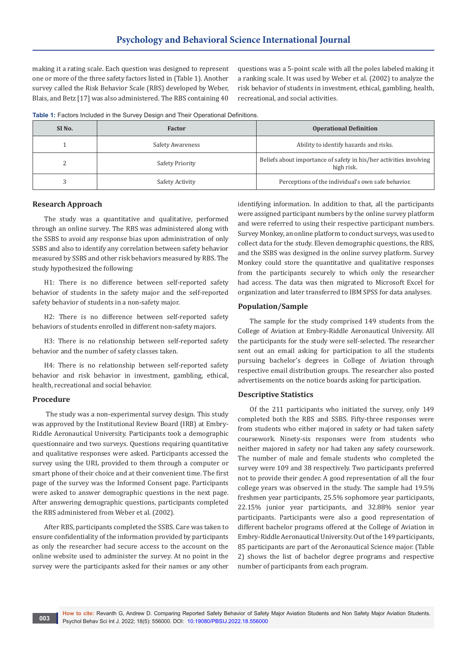making it a rating scale. Each question was designed to represent one or more of the three safety factors listed in (Table 1). Another survey called the Risk Behavior Scale (RBS) developed by Weber, Blais, and Betz [17] was also administered. The RBS containing 40

questions was a 5-point scale with all the poles labeled making it a ranking scale. It was used by Weber et al. (2002) to analyze the risk behavior of students in investment, ethical, gambling, health, recreational, and social activities.

**Table 1:** Factors Included in the Survey Design and Their Operational Definitions.

| SI <sub>No.</sub> | <b>Factor</b>          | <b>Operational Definition</b>                                                    |
|-------------------|------------------------|----------------------------------------------------------------------------------|
|                   | Safety Awareness       | Ability to identify hazards and risks.                                           |
|                   | <b>Safety Priority</b> | Beliefs about importance of safety in his/her activities involving<br>high risk. |
|                   | Safety Activity        | Perceptions of the individual's own safe behavior.                               |

#### **Research Approach**

The study was a quantitative and qualitative, performed through an online survey. The RBS was administered along with the SSBS to avoid any response bias upon administration of only SSBS and also to identify any correlation between safety behavior measured by SSBS and other risk behaviors measured by RBS. The study hypothesized the following:

H1: There is no difference between self-reported safety behavior of students in the safety major and the self-reported safety behavior of students in a non-safety major.

H2: There is no difference between self-reported safety behaviors of students enrolled in different non-safety majors.

H3: There is no relationship between self-reported safety behavior and the number of safety classes taken.

H4: There is no relationship between self-reported safety behavior and risk behavior in investment, gambling, ethical, health, recreational and social behavior.

## **Procedure**

 The study was a non-experimental survey design. This study was approved by the Institutional Review Board (IRB) at Embry-Riddle Aeronautical University. Participants took a demographic questionnaire and two surveys. Questions requiring quantitative and qualitative responses were asked. Participants accessed the survey using the URL provided to them through a computer or smart phone of their choice and at their convenient time. The first page of the survey was the Informed Consent page. Participants were asked to answer demographic questions in the next page. After answering demographic questions, participants completed the RBS administered from Weber et al. (2002).

After RBS, participants completed the SSBS. Care was taken to ensure confidentiality of the information provided by participants as only the researcher had secure access to the account on the online website used to administer the survey. At no point in the survey were the participants asked for their names or any other identifying information. In addition to that, all the participants were assigned participant numbers by the online survey platform and were referred to using their respective participant numbers. Survey Monkey, an online platform to conduct surveys, was used to collect data for the study. Eleven demographic questions, the RBS, and the SSBS was designed in the online survey platform. Survey Monkey could store the quantitative and qualitative responses from the participants securely to which only the researcher had access. The data was then migrated to Microsoft Excel for organization and later transferred to IBM SPSS for data analyses.

#### **Population/Sample**

The sample for the study comprised 149 students from the College of Aviation at Embry-Riddle Aeronautical University. All the participants for the study were self-selected. The researcher sent out an email asking for participation to all the students pursuing bachelor's degrees in College of Aviation through respective email distribution groups. The researcher also posted advertisements on the notice boards asking for participation.

#### **Descriptive Statistics**

Of the 211 participants who initiated the survey, only 149 completed both the RBS and SSBS. Fifty-three responses were from students who either majored in safety or had taken safety coursework. Ninety-six responses were from students who neither majored in safety nor had taken any safety coursework. The number of male and female students who completed the survey were 109 and 38 respectively. Two participants preferred not to provide their gender. A good representation of all the four college years was observed in the study. The sample had 19.5% freshmen year participants, 25.5% sophomore year participants, 22.15% junior year participants, and 32.88% senior year participants. Participants were also a good representation of different bachelor programs offered at the College of Aviation in Embry-Riddle Aeronautical University. Out of the 149 participants, 85 participants are part of the Aeronautical Science major. (Table 2) shows the list of bachelor degree programs and respective number of participants from each program.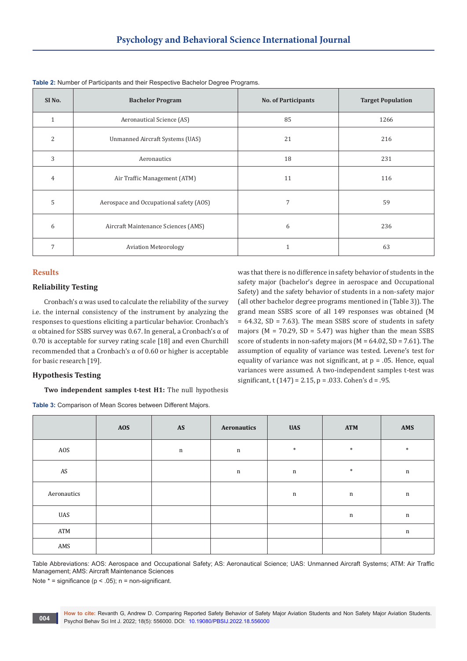| SI <sub>No.</sub> | <b>Bachelor Program</b>                 | <b>No. of Participants</b> | <b>Target Population</b> |  |  |
|-------------------|-----------------------------------------|----------------------------|--------------------------|--|--|
| $\mathbf{1}$      | Aeronautical Science (AS)               | 85                         | 1266                     |  |  |
| 2                 | Unmanned Aircraft Systems (UAS)         | 21                         | 216                      |  |  |
| 3                 | Aeronautics                             | 18                         | 231                      |  |  |
| 4                 | Air Traffic Management (ATM)            | 11                         | 116                      |  |  |
| 5                 | Aerospace and Occupational safety (AOS) | 7                          | 59                       |  |  |
| 6                 | Aircraft Maintenance Sciences (AMS)     | 6                          | 236                      |  |  |
| 7                 | <b>Aviation Meteorology</b>             | 1                          | 63                       |  |  |

| Table 2: Number of Participants and their Respective Bachelor Degree Programs. |  |  |  |
|--------------------------------------------------------------------------------|--|--|--|
|--------------------------------------------------------------------------------|--|--|--|

## **Results**

# **Reliability Testing**

Cronbach's  $\alpha$  was used to calculate the reliability of the survey i.e. the internal consistency of the instrument by analyzing the responses to questions eliciting a particular behavior. Cronbach's α obtained for SSBS survey was 0.67. In general, a Cronbach's α of 0.70 is acceptable for survey rating scale [18] and even Churchill recommended that a Cronbach's α of 0.60 or higher is acceptable for basic research [19].

was that there is no difference in safety behavior of students in the safety major (bachelor's degree in aerospace and Occupational Safety) and the safety behavior of students in a non-safety major (all other bachelor degree programs mentioned in (Table 3)). The grand mean SSBS score of all 149 responses was obtained (M  $= 64.32$ , SD = 7.63). The mean SSBS score of students in safety majors ( $M = 70.29$ ,  $SD = 5.47$ ) was higher than the mean SSBS score of students in non-safety majors ( $M = 64.02$ ,  $SD = 7.61$ ). The assumption of equality of variance was tested. Levene's test for equality of variance was not significant, at  $p = .05$ . Hence, equal variances were assumed. A two-independent samples t-test was significant, t  $(147) = 2.15$ , p = .033. Cohen's d = .95.

# **Hypothesis Testing**

**Two independent samples t-test H1:** The null hypothesis

**Table 3:** Comparison of Mean Scores between Different Majors.

|             | <b>AOS</b> | $\boldsymbol{\mathsf{AS}}$ | Aeronautics | <b>UAS</b>  | <b>ATM</b>  | AMS         |
|-------------|------------|----------------------------|-------------|-------------|-------------|-------------|
| AOS         |            | $\mathbf n$                | $\mathbf n$ | $\ast$      | $\ast$      | $\ast$      |
| AS          |            |                            | n           | $\mathbf n$ | $\ast$      | $\mathbf n$ |
| Aeronautics |            |                            |             | $\mathbf n$ | $\mathbf n$ | $\mathbf n$ |
| UAS         |            |                            |             |             | $\mathbf n$ | $\mathbf n$ |
| ATM         |            |                            |             |             |             | $\mathbf n$ |
| AMS         |            |                            |             |             |             |             |

Table Abbreviations: AOS: Aerospace and Occupational Safety; AS: Aeronautical Science; UAS: Unmanned Aircraft Systems; ATM: Air Traffic Management; AMS: Aircraft Maintenance Sciences

Note  $* =$  significance ( $p < .05$ ); n = non-significant.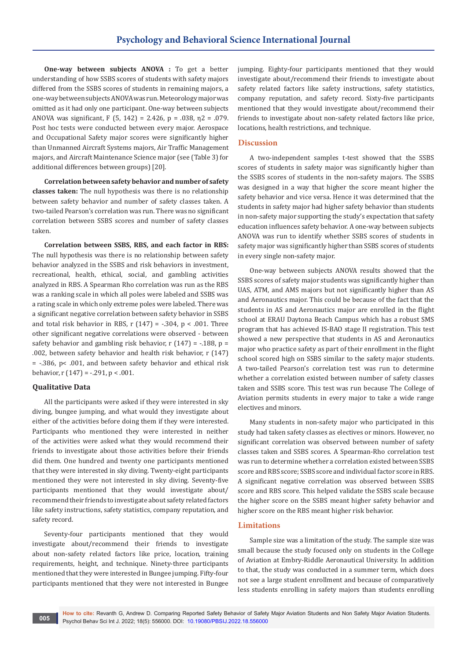**One-way between subjects ANOVA :** To get a better understanding of how SSBS scores of students with safety majors differed from the SSBS scores of students in remaining majors, a one-way between subjects ANOVA was run. Meteorology major was omitted as it had only one participant. One-way between subjects ANOVA was significant, F (5, 142) = 2.426, p = .038,  $n^2$  = .079. Post hoc tests were conducted between every major. Aerospace and Occupational Safety major scores were significantly higher than Unmanned Aircraft Systems majors, Air Traffic Management majors, and Aircraft Maintenance Science major (see (Table 3) for additional differences between groups) [20].

**Correlation between safety behavior and number of safety classes taken:** The null hypothesis was there is no relationship between safety behavior and number of safety classes taken. A two-tailed Pearson's correlation was run. There was no significant correlation between SSBS scores and number of safety classes taken.

**Correlation between SSBS, RBS, and each factor in RBS:**  The null hypothesis was there is no relationship between safety behavior analyzed in the SSBS and risk behaviors in investment, recreational, health, ethical, social, and gambling activities analyzed in RBS. A Spearman Rho correlation was run as the RBS was a ranking scale in which all poles were labeled and SSBS was a rating scale in which only extreme poles were labeled. There was a significant negative correlation between safety behavior in SSBS and total risk behavior in RBS,  $r(147) = -.304$ ,  $p < .001$ . Three other significant negative correlations were observed - between safety behavior and gambling risk behavior,  $r(147) = -0.188$ ,  $p =$ .002, between safety behavior and health risk behavior, r (147) = -.386, p< .001, and between safety behavior and ethical risk behavior, r  $(147) = -.291$ , p < .001.

# **Qualitative Data**

All the participants were asked if they were interested in sky diving, bungee jumping, and what would they investigate about either of the activities before doing them if they were interested. Participants who mentioned they were interested in neither of the activities were asked what they would recommend their friends to investigate about those activities before their friends did them. One hundred and twenty one participants mentioned that they were interested in sky diving. Twenty-eight participants mentioned they were not interested in sky diving. Seventy-five participants mentioned that they would investigate about/ recommend their friends to investigate about safety related factors like safety instructions, safety statistics, company reputation, and safety record.

Seventy-four participants mentioned that they would investigate about/recommend their friends to investigate about non-safety related factors like price, location, training requirements, height, and technique. Ninety-three participants mentioned that they were interested in Bungee jumping. Fifty-four participants mentioned that they were not interested in Bungee

jumping. Eighty-four participants mentioned that they would investigate about/recommend their friends to investigate about safety related factors like safety instructions, safety statistics, company reputation, and safety record. Sixty-five participants mentioned that they would investigate about/recommend their friends to investigate about non-safety related factors like price, locations, health restrictions, and technique.

## **Discussion**

A two-independent samples t-test showed that the SSBS scores of students in safety major was significantly higher than the SSBS scores of students in the non-safety majors. The SSBS was designed in a way that higher the score meant higher the safety behavior and vice versa. Hence it was determined that the students in safety major had higher safety behavior than students in non-safety major supporting the study's expectation that safety education influences safety behavior. A one-way between subjects ANOVA was run to identify whether SSBS scores of students in safety major was significantly higher than SSBS scores of students in every single non-safety major.

One-way between subjects ANOVA results showed that the SSBS scores of safety major students was significantly higher than UAS, ATM, and AMS majors but not significantly higher than AS and Aeronautics major. This could be because of the fact that the students in AS and Aeronautics major are enrolled in the flight school at ERAU Daytona Beach Campus which has a robust SMS program that has achieved IS-BAO stage II registration. This test showed a new perspective that students in AS and Aeronautics major who practice safety as part of their enrollment in the flight school scored high on SSBS similar to the safety major students. A two-tailed Pearson's correlation test was run to determine whether a correlation existed between number of safety classes taken and SSBS score. This test was run because The College of Aviation permits students in every major to take a wide range electives and minors.

Many students in non-safety major who participated in this study had taken safety classes as electives or minors. However, no significant correlation was observed between number of safety classes taken and SSBS scores. A Spearman-Rho correlation test was run to determine whether a correlation existed between SSBS score and RBS score; SSBS score and individual factor score in RBS. A significant negative correlation was observed between SSBS score and RBS score. This helped validate the SSBS scale because the higher score on the SSBS meant higher safety behavior and higher score on the RBS meant higher risk behavior.

#### **Limitations**

Sample size was a limitation of the study. The sample size was small because the study focused only on students in the College of Aviation at Embry-Riddle Aeronautical University. In addition to that, the study was conducted in a summer term, which does not see a large student enrollment and because of comparatively less students enrolling in safety majors than students enrolling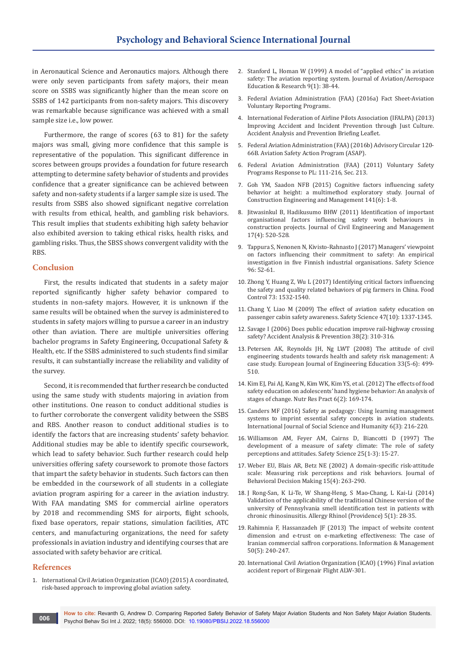in Aeronautical Science and Aeronautics majors. Although there were only seven participants from safety majors, their mean score on SSBS was significantly higher than the mean score on SSBS of 142 participants from non-safety majors. This discovery was remarkable because significance was achieved with a small sample size i.e., low power.

Furthermore, the range of scores (63 to 81) for the safety majors was small, giving more confidence that this sample is representative of the population. This significant difference in scores between groups provides a foundation for future research attempting to determine safety behavior of students and provides confidence that a greater significance can be achieved between safety and non-safety students if a larger sample size is used. The results from SSBS also showed significant negative correlation with results from ethical, health, and gambling risk behaviors. This result implies that students exhibiting high safety behavior also exhibited aversion to taking ethical risks, health risks, and gambling risks. Thus, the SBSS shows convergent validity with the RBS.

#### **Conclusion**

First, the results indicated that students in a safety major reported significantly higher safety behavior compared to students in non-safety majors. However, it is unknown if the same results will be obtained when the survey is administered to students in safety majors willing to pursue a career in an industry other than aviation. There are multiple universities offering bachelor programs in Safety Engineering, Occupational Safety & Health, etc. If the SSBS administered to such students find similar results, it can substantially increase the reliability and validity of the survey.

Second, it is recommended that further research be conducted using the same study with students majoring in aviation from other institutions. One reason to conduct additional studies is to further corroborate the convergent validity between the SSBS and RBS. Another reason to conduct additional studies is to identify the factors that are increasing students' safety behavior. Additional studies may be able to identify specific coursework, which lead to safety behavior. Such further research could help universities offering safety coursework to promote those factors that impart the safety behavior in students. Such factors can then be embedded in the coursework of all students in a collegiate aviation program aspiring for a career in the aviation industry. With FAA mandating SMS for commercial airline operators by 2018 and recommending SMS for airports, flight schools, fixed base operators, repair stations, simulation facilities, ATC centers, and manufacturing organizations, the need for safety professionals in aviation industry and identifying courses that are associated with safety behavior are critical.

#### **References**

1. International Civil Aviation Organization (ICAO) (2015) A coordinated, risk-based approach to improving global aviation safety.

- 2. [Stanford L, Homan W \(1999\) A model of "applied ethics" in aviation](https://commons.erau.edu/jaaer/vol9/iss1/1/)  [safety: The aviation reporting system. Journal of Aviation/Aerospace](https://commons.erau.edu/jaaer/vol9/iss1/1/)  [Education & Research 9\(1\): 38-44.](https://commons.erau.edu/jaaer/vol9/iss1/1/)
- 3. Federal Aviation Administration (FAA) (2016a) Fact Sheet-Aviation Voluntary Reporting Programs.
- 4. International Federation of Airline Pilots Association (IFALPA) (2013) Improving Accident and Incident Prevention through Just Culture. Accident Analysis and Prevention Briefing Leaflet.
- 5. Federal Aviation Administration (FAA) (2016b) Advisory Circular 120- 66B. Aviation Safety Action Program (ASAP).
- 6. Federal Aviation Administration (FAA) (2011) Voluntary Safety Programs Response to PL: 111-216, Sec. 213.
- 7. [Goh YM, Saadon NFB \(2015\) Cognitive factors influencing safety](https://ascelibrary.org/doi/10.1061/%28ASCE%29CO.1943-7862.0000972)  [behavior at height: a multimethod exploratory study. Journal of](https://ascelibrary.org/doi/10.1061/%28ASCE%29CO.1943-7862.0000972)  [Construction Engineering and Management 141\(6\): 1-8.](https://ascelibrary.org/doi/10.1061/%28ASCE%29CO.1943-7862.0000972)
- 8. [Jitwasinkul B, Hadikusumo BHW \(2011\) Identification of important](https://www.tandfonline.com/doi/abs/10.3846/13923730.2011.604538)  [organisational factors influencing safety work behaviours in](https://www.tandfonline.com/doi/abs/10.3846/13923730.2011.604538)  [construction projects. Journal of Civil Engineering and Management](https://www.tandfonline.com/doi/abs/10.3846/13923730.2011.604538)  [17\(4\): 520-528.](https://www.tandfonline.com/doi/abs/10.3846/13923730.2011.604538)
- 9. Tappura S, Nenonen N, Kivisto-Rahnasto J (2017) Managers' viewpoint [on factors influencing their commitment to safety: An empirical](https://www.sciencedirect.com/science/article/abs/pii/S0925753517304538)  [investigation in five Finnish industrial organisations. Safety Science](https://www.sciencedirect.com/science/article/abs/pii/S0925753517304538)  [96: 52-61.](https://www.sciencedirect.com/science/article/abs/pii/S0925753517304538)
- 10. [Zhong Y, Huang Z, Wu L \(2017\) Identifying critical factors influencing](https://www.sciencedirect.com/science/article/abs/pii/S0956713516306302)  [the safety and quality related behaviors of pig farmers in China. Food](https://www.sciencedirect.com/science/article/abs/pii/S0956713516306302)  [Control 73: 1532-1540.](https://www.sciencedirect.com/science/article/abs/pii/S0956713516306302)
- 11. [Chang Y, Liao M \(2009\) The effect of aviation safety education on](https://www.sciencedirect.com/science/article/abs/pii/S0925753509000186)  [passenger cabin safety awareness. Safety Science 47\(10\): 1337-1345.](https://www.sciencedirect.com/science/article/abs/pii/S0925753509000186)
- 12. [Savage I \(2006\) Does public education improve rail-highway crossing](https://www.sciencedirect.com/science/article/abs/pii/S0001457505001727)  [safety? Accident Analysis & Prevention 38\(2\): 310-316.](https://www.sciencedirect.com/science/article/abs/pii/S0001457505001727)
- 13. [Petersen AK, Reynolds JH, Ng LWT \(2008\) The attitude of civil](https://www.tandfonline.com/doi/abs/10.1080/03043790802564053)  [engineering students towards health and safety risk management: A](https://www.tandfonline.com/doi/abs/10.1080/03043790802564053)  [case study. European Journal of Engineering Education 33\(5-6\): 499-](https://www.tandfonline.com/doi/abs/10.1080/03043790802564053) [510.](https://www.tandfonline.com/doi/abs/10.1080/03043790802564053)
- 14. [Kim EJ, Pai AJ, Kang N, Kim WK, Kim YS, et al. \(2012\) The effects of food](https://pubmed.ncbi.nlm.nih.gov/22586507/)  [safety education on adolescents' hand hygiene behavior: An analysis of](https://pubmed.ncbi.nlm.nih.gov/22586507/)  [stages of change. Nutr Res Pract 6\(2\): 169-174.](https://pubmed.ncbi.nlm.nih.gov/22586507/)
- 15. Canders MF (2016) Safety as pedagogy: Using learning management systems to imprint essential safety concepts in aviation students. International Journal of Social Science and Humanity 6(3): 216-220.
- 16. [Williamson AM, Feyer AM, Cairns D, Biancotti D \(1997\) The](https://www.sciencedirect.com/science/article/abs/pii/S0925753597000209)  [development of a measure of safety climate: The role of safety](https://www.sciencedirect.com/science/article/abs/pii/S0925753597000209)  [perceptions and attitudes. Safety Science 25\(1-3\): 15-27.](https://www.sciencedirect.com/science/article/abs/pii/S0925753597000209)
- 17. [Weber EU, Blais AR, Betz NE \(2002\) A domain-specific risk-attitude](https://onlinelibrary.wiley.com/doi/10.1002/bdm.414)  [scale: Measuring risk perceptions and risk behaviors. Journal of](https://onlinelibrary.wiley.com/doi/10.1002/bdm.414)  [Behavioral Decision Making 15\(4\): 263-290.](https://onlinelibrary.wiley.com/doi/10.1002/bdm.414)
- 18. [J Rong-San, K Li-Te, W Shang-Heng, S Mao-Chang, L Kai-Li \(2014\)](https://pubmed.ncbi.nlm.nih.gov/25199144/)  [Validation of the applicability of the traditional Chinese version of the](https://pubmed.ncbi.nlm.nih.gov/25199144/)  [university of Pennsylvania smell identification test in patients with](https://pubmed.ncbi.nlm.nih.gov/25199144/)  [chronic rhinosinusitis. Allergy Rhinol \(Providence\) 5\(1\): 28-35.](https://pubmed.ncbi.nlm.nih.gov/25199144/)
- 19. [Rahimnia F, Hassanzadeh JF \(2013\) The impact of website content](https://www.sciencedirect.com/science/article/abs/pii/S0378720613000311)  [dimension and e-trust on e-marketing effectiveness: The case of](https://www.sciencedirect.com/science/article/abs/pii/S0378720613000311)  [Iranian commercial saffron corporations. Information & Management](https://www.sciencedirect.com/science/article/abs/pii/S0378720613000311)  [50\(5\): 240-247.](https://www.sciencedirect.com/science/article/abs/pii/S0378720613000311)
- 20. International Civil Aviation Organization (ICAO) (1996) Final aviation accident report of Birgenair Flight ALW-301.